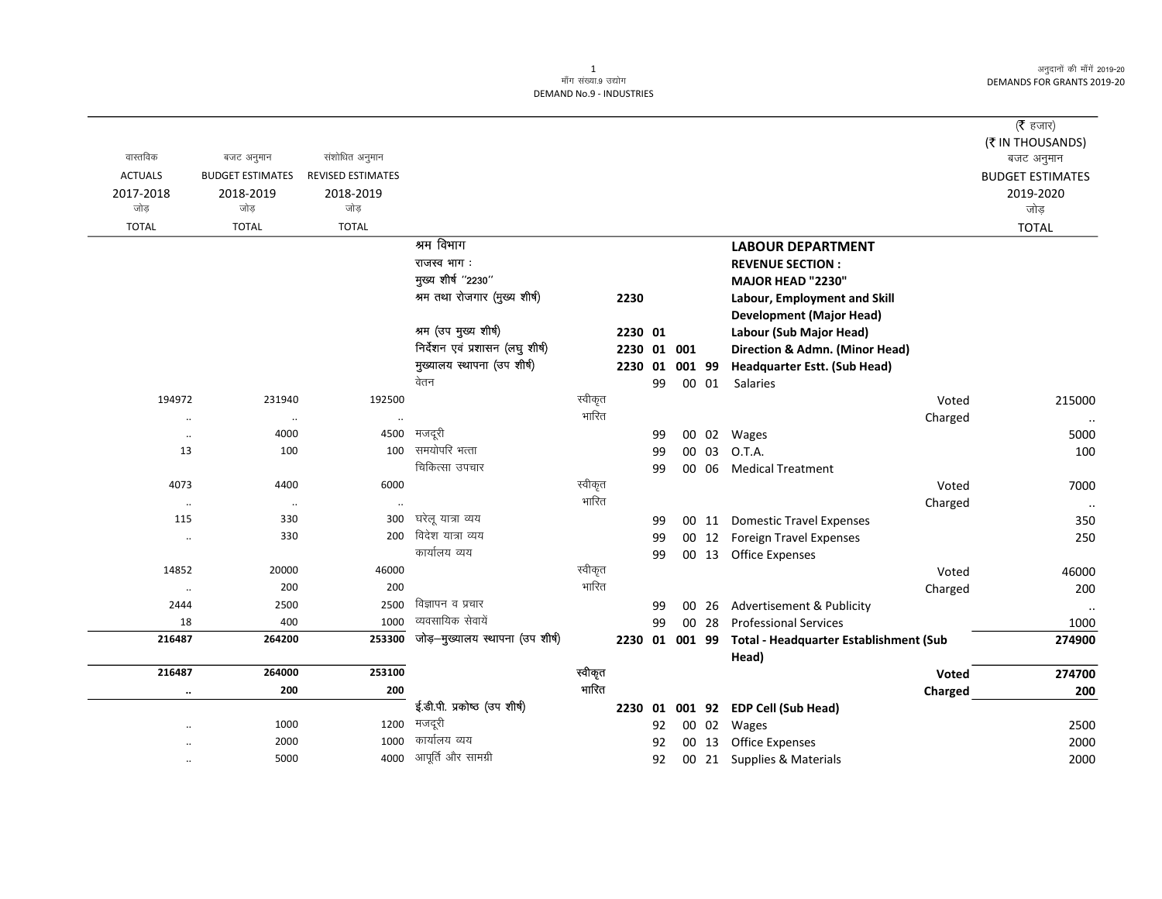## 1<br>माँग संख्या.9 उद्योग DEMAND No.9 - INDUSTRIES

| वास्तविक<br><b>ACTUALS</b><br>2017-2018<br>जोड़ | बजट अनुमान<br><b>BUDGET ESTIMATES</b><br>2018-2019<br>जोड़ | संशोधित अनुमान<br>REVISED ESTIMATES<br>2018-2019<br>जोड़ |                                  |         |                |    |        |       |                                                 |         | $($ रै हजार)<br>(₹ IN THOUSANDS)<br>बजट अनुमान<br><b>BUDGET ESTIMATES</b><br>2019-2020<br>जोड़ |
|-------------------------------------------------|------------------------------------------------------------|----------------------------------------------------------|----------------------------------|---------|----------------|----|--------|-------|-------------------------------------------------|---------|------------------------------------------------------------------------------------------------|
| <b>TOTAL</b>                                    | <b>TOTAL</b>                                               | <b>TOTAL</b>                                             |                                  |         |                |    |        |       |                                                 |         | <b>TOTAL</b>                                                                                   |
|                                                 |                                                            |                                                          | श्रम विभाग                       |         |                |    |        |       | <b>LABOUR DEPARTMENT</b>                        |         |                                                                                                |
|                                                 |                                                            |                                                          | राजस्व भाग:                      |         |                |    |        |       | <b>REVENUE SECTION:</b>                         |         |                                                                                                |
|                                                 |                                                            |                                                          | मुख्य शीर्ष "2230"               |         |                |    |        |       | <b>MAJOR HEAD "2230"</b>                        |         |                                                                                                |
|                                                 |                                                            |                                                          | श्रम तथा रोजगार (मुख्य शीर्ष)    |         | 2230           |    |        |       | Labour, Employment and Skill                    |         |                                                                                                |
|                                                 |                                                            |                                                          |                                  |         |                |    |        |       | <b>Development (Major Head)</b>                 |         |                                                                                                |
|                                                 |                                                            |                                                          | श्रम (उप मुख्य शीर्ष)            |         | 2230 01        |    |        |       | Labour (Sub Major Head)                         |         |                                                                                                |
|                                                 |                                                            |                                                          | निर्देशन एवं प्रशासन (लघु शीर्ष) |         | 2230           |    | 01 001 |       | Direction & Admn. (Minor Head)                  |         |                                                                                                |
|                                                 |                                                            |                                                          | मुख्यालय स्थापना (उप शीर्ष)      |         | 2230 01        |    | 001 99 |       | <b>Headquarter Estt. (Sub Head)</b>             |         |                                                                                                |
|                                                 |                                                            |                                                          | वेतन                             |         |                | 99 |        | 00 01 | Salaries                                        |         |                                                                                                |
| 194972                                          | 231940                                                     | 192500                                                   |                                  | स्वीकृत |                |    |        |       |                                                 | Voted   | 215000                                                                                         |
| $\cdot$ .                                       | $\cdot\cdot$                                               |                                                          |                                  | भारित   |                |    |        |       |                                                 | Charged | $\ddotsc$                                                                                      |
| $\ddotsc$                                       | 4000                                                       | 4500                                                     | मजदूरी                           |         |                | 99 |        |       | 00 02 Wages                                     |         | 5000                                                                                           |
| 13                                              | 100                                                        | 100                                                      | समयोपरि भत्ता                    |         |                | 99 |        | 00 03 | O.T.A.                                          |         | 100                                                                                            |
|                                                 |                                                            |                                                          | चिकित्सा उपचार                   |         |                | 99 |        | 00 06 | <b>Medical Treatment</b>                        |         |                                                                                                |
| 4073                                            | 4400                                                       | 6000                                                     |                                  | स्वीकृत |                |    |        |       |                                                 | Voted   | 7000                                                                                           |
| $\cdot\cdot$                                    | $\cdot\cdot$                                               | $\ddot{\phantom{0}}$                                     |                                  | भारित   |                |    |        |       |                                                 | Charged | $\cdots$                                                                                       |
| 115                                             | 330                                                        | 300                                                      | घरेलू यात्रा व्यय                |         |                | 99 |        |       | 00 11 Domestic Travel Expenses                  |         | 350                                                                                            |
| $\ddotsc$                                       | 330                                                        | 200                                                      | विदेश यात्रा व्यय                |         |                | 99 |        |       | 00 12 Foreign Travel Expenses                   |         | 250                                                                                            |
|                                                 |                                                            |                                                          | कार्यालय व्यय                    |         |                | 99 |        |       | 00 13 Office Expenses                           |         |                                                                                                |
| 14852                                           | 20000                                                      | 46000                                                    |                                  | स्वीकृत |                |    |        |       |                                                 | Voted   | 46000                                                                                          |
| $\cdot\cdot$                                    | 200                                                        | 200                                                      |                                  | भारित   |                |    |        |       |                                                 | Charged | 200                                                                                            |
| 2444                                            | 2500                                                       | 2500                                                     | विज्ञापन व प्रचार                |         |                | 99 |        | 00 26 | Advertisement & Publicity                       |         | $\cdots$                                                                                       |
| 18                                              | 400                                                        | 1000                                                     | व्यवसायिक सेवायें                |         |                | 99 |        | 00 28 | <b>Professional Services</b>                    |         | 1000                                                                                           |
| 216487                                          | 264200                                                     | 253300                                                   | जोड़-मुख्यालय स्थापना (उप शीर्ष) |         | 2230 01 001 99 |    |        |       | Total - Headquarter Establishment (Sub<br>Head) |         | 274900                                                                                         |
| 216487                                          | 264000                                                     | 253100                                                   |                                  | स्वीकृत |                |    |        |       |                                                 | Voted   | 274700                                                                                         |
| $\cdots$                                        | 200                                                        | 200                                                      |                                  | भारित   |                |    |        |       |                                                 | Charged | 200                                                                                            |
|                                                 |                                                            |                                                          | ई.डी.पी. प्रकोष्ठ (उप शीर्ष)     |         |                |    |        |       | 2230 01 001 92 EDP Cell (Sub Head)              |         |                                                                                                |
|                                                 | 1000                                                       | 1200                                                     | मजदूरी                           |         |                | 92 |        | 00 02 | Wages                                           |         | 2500                                                                                           |
|                                                 | 2000                                                       | 1000                                                     | कार्यालय व्यय                    |         |                | 92 |        | 00 13 | <b>Office Expenses</b>                          |         | 2000                                                                                           |
|                                                 | 5000                                                       | 4000                                                     | आपूर्ति और सामग्री               |         |                | 92 |        |       | 00 21 Supplies & Materials                      |         | 2000                                                                                           |
|                                                 |                                                            |                                                          |                                  |         |                |    |        |       |                                                 |         |                                                                                                |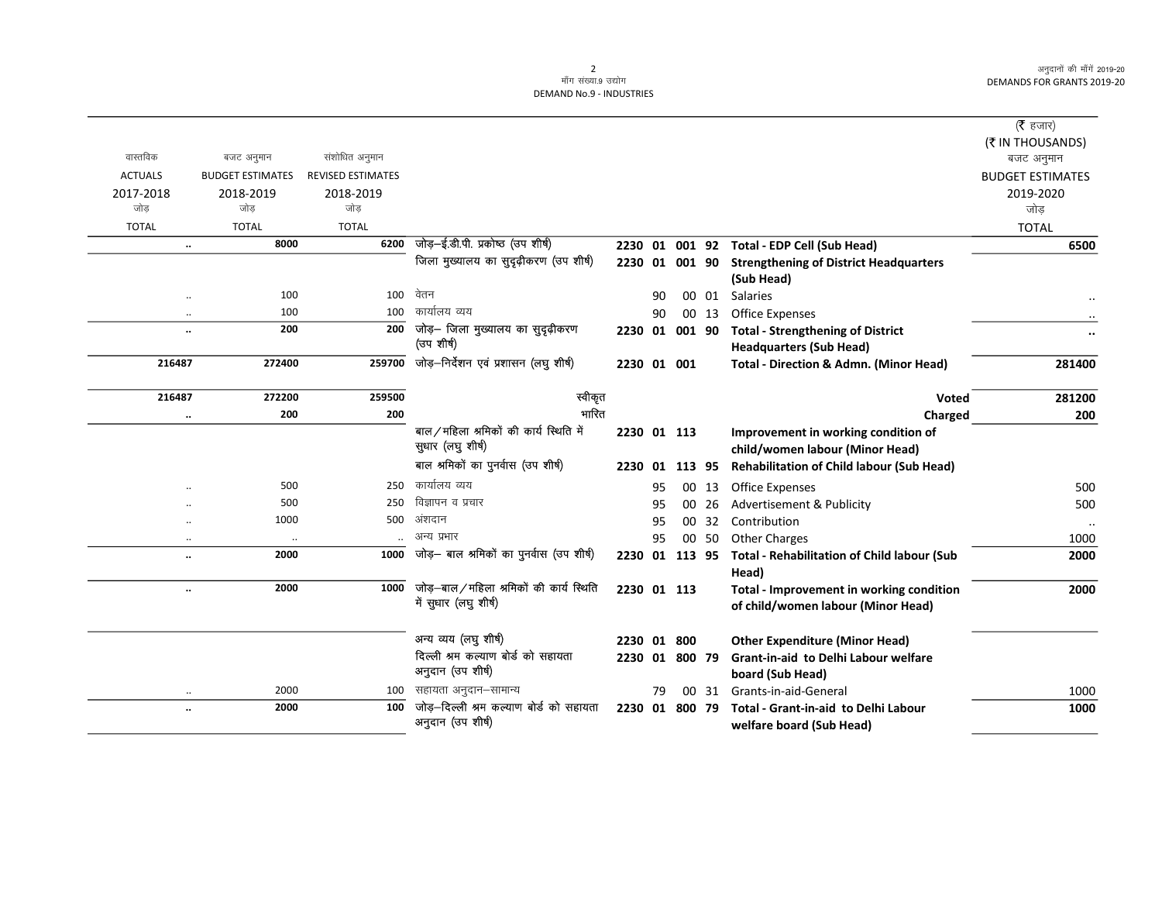|                      |                         |                          |                                           |                |    |        |       |                                                    | (रै हजार)               |
|----------------------|-------------------------|--------------------------|-------------------------------------------|----------------|----|--------|-------|----------------------------------------------------|-------------------------|
|                      |                         |                          |                                           |                |    |        |       |                                                    | (₹ IN THOUSANDS)        |
| वास्तविक             | बजट अनुमान              | संशोधित अनुमान           |                                           |                |    |        |       |                                                    | बजट अनुमान              |
| <b>ACTUALS</b>       | <b>BUDGET ESTIMATES</b> | <b>REVISED ESTIMATES</b> |                                           |                |    |        |       |                                                    | <b>BUDGET ESTIMATES</b> |
| 2017-2018            | 2018-2019               | 2018-2019                |                                           |                |    |        |       |                                                    | 2019-2020               |
| जोड                  | जोड                     | जोड                      |                                           |                |    |        |       |                                                    | जोड                     |
| <b>TOTAL</b>         | <b>TOTAL</b>            | <b>TOTAL</b>             |                                           |                |    |        |       |                                                    | <b>TOTAL</b>            |
| $\cdots$             | 8000                    | 6200                     | जोड़-ई.डी.पी. प्रकोष्ठ (उप शीर्ष)         |                |    |        |       | 2230 01 001 92 Total - EDP Cell (Sub Head)         | 6500                    |
|                      |                         |                          | जिला मुख्यालय का सुदृढ़ीकरण (उप शीर्ष)    | 2230 01 001 90 |    |        |       | <b>Strengthening of District Headquarters</b>      |                         |
|                      |                         |                          |                                           |                |    |        |       | (Sub Head)                                         |                         |
|                      | 100                     | 100                      | वेतन                                      |                | 90 |        |       | 00 01 Salaries                                     |                         |
| $\ddotsc$            | 100                     | 100                      | कार्यालय व्यय                             |                | 90 |        | 00 13 | <b>Office Expenses</b>                             |                         |
| $\ddotsc$            | 200                     | 200                      | जोड़— जिला मुख्यालय का सुदृढ़ीकरण         | 2230 01        |    | 001 90 |       | <b>Total - Strengthening of District</b>           | $\cdots$                |
|                      |                         |                          | (उप शीर्ष)                                |                |    |        |       | <b>Headquarters (Sub Head)</b>                     |                         |
| 216487               | 272400                  | 259700                   | जोड़-निर्देशन एवं प्रशासन (लघु शीर्ष)     | 2230 01 001    |    |        |       | <b>Total - Direction &amp; Admn. (Minor Head)</b>  | 281400                  |
|                      |                         |                          |                                           |                |    |        |       |                                                    |                         |
| 216487               | 272200                  | 259500                   | स्वीकृत                                   |                |    |        |       | Voted                                              | 281200                  |
| $\ldots$             | 200                     | 200                      | भारित                                     |                |    |        |       | Charged                                            | 200                     |
|                      |                         |                          | बाल ⁄ महिला श्रमिकों की कार्य स्थिति में  | 2230 01 113    |    |        |       | Improvement in working condition of                |                         |
|                      |                         |                          | सुधार (लघु शीर्ष)                         |                |    |        |       | child/women labour (Minor Head)                    |                         |
|                      |                         |                          | बाल श्रमिकों का पुनर्वास (उप शीर्ष)       | 2230           | 01 | 113 95 |       | Rehabilitation of Child labour (Sub Head)          |                         |
|                      | 500                     | 250                      | कार्यालय व्यय                             |                | 95 |        | 00 13 | <b>Office Expenses</b>                             | 500                     |
|                      | 500                     | 250                      | विज्ञापन व प्रचार                         |                | 95 | 00     | 26    | <b>Advertisement &amp; Publicity</b>               | 500                     |
| $\ddot{\phantom{a}}$ | 1000                    | 500                      | अंशदान                                    |                | 95 |        | 00 32 | Contribution                                       | $\ddotsc$               |
| $\ddotsc$            | $\ldots$                |                          | अन्य प्रभार                               |                | 95 |        | 00 50 | <b>Other Charges</b>                               | 1000                    |
| $\ddot{\phantom{a}}$ | 2000                    | 1000                     | जोड़— बाल श्रमिकों का पुनर्वास (उप शीर्ष) | 2230 01 113 95 |    |        |       | <b>Total - Rehabilitation of Child labour (Sub</b> | 2000                    |
|                      |                         |                          |                                           |                |    |        |       | Head)                                              |                         |
| $\cdots$             | 2000                    | 1000                     | जोड़—बाल/महिला श्रमिकों की कार्य स्थिति   | 2230 01 113    |    |        |       | Total - Improvement in working condition           | 2000                    |
|                      |                         |                          | में सुधार (लघु शीर्ष)                     |                |    |        |       | of child/women labour (Minor Head)                 |                         |
|                      |                         |                          |                                           |                |    |        |       |                                                    |                         |
|                      |                         |                          | अन्य व्यय (लघु शीर्ष)                     | 2230 01 800    |    |        |       | <b>Other Expenditure (Minor Head)</b>              |                         |
|                      |                         |                          | दिल्ली श्रम कल्याण बोर्ड को सहायता        | 2230 01 800 79 |    |        |       | <b>Grant-in-aid to Delhi Labour welfare</b>        |                         |
|                      |                         |                          | अनुदान (उप शीर्ष)                         |                |    |        |       | board (Sub Head)                                   |                         |
| $\ddotsc$            | 2000                    | 100                      | सहायता अनुदान–सामान्य                     |                | 79 |        | 00 31 | Grants-in-aid-General                              | 1000                    |
| $\ddotsc$            | 2000                    | 100                      | जोड़–दिल्ली श्रम कल्याण बोर्ड को सहायता   | 2230           | 01 | 800 79 |       | <b>Total - Grant-in-aid to Delhi Labour</b>        | 1000                    |
|                      |                         |                          | अनुदान (उप शीर्ष)                         |                |    |        |       | welfare board (Sub Head)                           |                         |
|                      |                         |                          |                                           |                |    |        |       |                                                    |                         |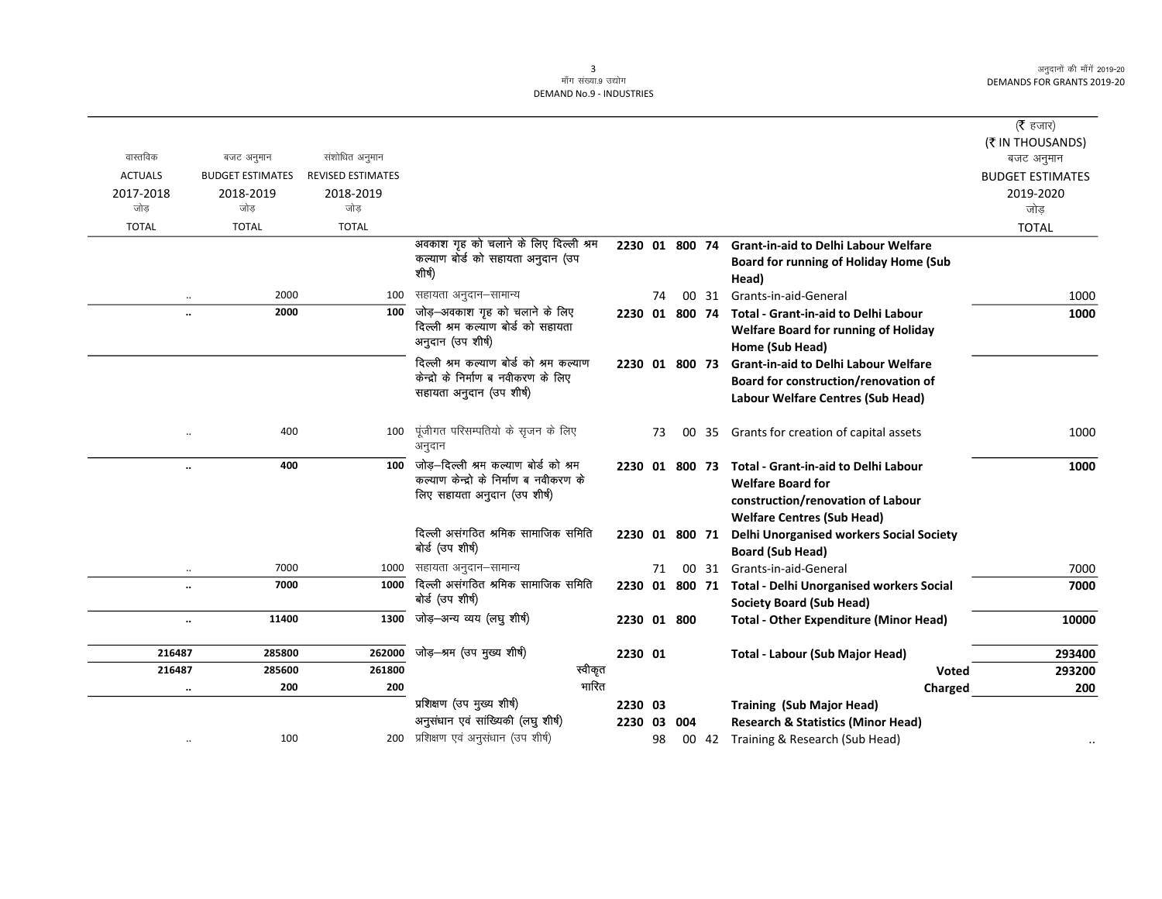## 3<br>माँग संख्या.9 उद्योग DEMAND No.9 - INDUSTRIES

|                |                             |                          |                                         |                |    |                |       |                                                         | ( <b>रै</b> हजार)       |
|----------------|-----------------------------|--------------------------|-----------------------------------------|----------------|----|----------------|-------|---------------------------------------------------------|-------------------------|
|                |                             |                          |                                         |                |    |                |       |                                                         | (₹ IN THOUSANDS)        |
| वास्तविक       | बजट अनुमान                  | संशोधित अनुमान           |                                         |                |    |                |       |                                                         | बजट अनुमान              |
| <b>ACTUALS</b> | <b>BUDGET ESTIMATES</b>     | <b>REVISED ESTIMATES</b> |                                         |                |    |                |       |                                                         | <b>BUDGET ESTIMATES</b> |
| 2017-2018      | 2018-2019                   | 2018-2019                |                                         |                |    |                |       |                                                         | 2019-2020               |
| जोड            | जोड                         | जोड                      |                                         |                |    |                |       |                                                         | जोड                     |
| <b>TOTAL</b>   | <b>TOTAL</b>                | <b>TOTAL</b>             |                                         |                |    |                |       |                                                         | <b>TOTAL</b>            |
|                |                             |                          | अवकाश गृह को चलाने के लिए दिल्ली श्रम   | 2230 01 800 74 |    |                |       | <b>Grant-in-aid to Delhi Labour Welfare</b>             |                         |
|                |                             |                          | कल्याण बोर्ड को सहायता अनुदान (उप       |                |    |                |       | <b>Board for running of Holiday Home (Sub</b>           |                         |
|                |                             |                          | शीर्ष)                                  |                |    |                |       | Head)                                                   |                         |
|                | 2000<br>$\cdot\cdot$        | 100                      | सहायता अनुदान–सामान्य                   |                | 74 |                | 00 31 | Grants-in-aid-General                                   | 1000                    |
|                | 2000<br>$\ddotsc$           | 100                      | जोड़-अवकाश गृह को चलाने के लिए          |                |    | 2230 01 800 74 |       | <b>Total - Grant-in-aid to Delhi Labour</b>             | 1000                    |
|                |                             |                          | दिल्ली श्रम कल्याण बोर्ड को सहायता      |                |    |                |       | <b>Welfare Board for running of Holiday</b>             |                         |
|                |                             |                          | अनुदान (उप शीर्ष)                       |                |    |                |       | Home (Sub Head)                                         |                         |
|                |                             |                          | दिल्ली श्रम कल्याण बोर्ड को श्रम कल्याण | 2230 01 800 73 |    |                |       | <b>Grant-in-aid to Delhi Labour Welfare</b>             |                         |
|                |                             |                          | केन्द्रो के निर्माण ब नवीकरण के लिए     |                |    |                |       | Board for construction/renovation of                    |                         |
|                |                             |                          | सहायता अनुदान (उप शीर्ष)                |                |    |                |       | Labour Welfare Centres (Sub Head)                       |                         |
|                |                             |                          |                                         |                |    |                |       |                                                         |                         |
|                | 400<br>$\ddot{\phantom{0}}$ | 100                      | पूंजीगत परिसम्पतियो के सृजन के लिए      |                | 73 | 00             | 35    | Grants for creation of capital assets                   | 1000                    |
|                |                             |                          | अनुदान                                  |                |    |                |       |                                                         |                         |
|                | 400<br>$\ldots$             | 100                      | जोड–दिल्ली श्रम कल्याण बोर्ड को श्रम    |                |    |                |       | 2230 01 800 73 Total - Grant-in-aid to Delhi Labour     | 1000                    |
|                |                             |                          | कल्याण केन्द्रो के निर्माण ब नवीकरण के  |                |    |                |       | <b>Welfare Board for</b>                                |                         |
|                |                             |                          | लिए सहायता अनुदान (उप शीर्ष)            |                |    |                |       | construction/renovation of Labour                       |                         |
|                |                             |                          |                                         |                |    |                |       | <b>Welfare Centres (Sub Head)</b>                       |                         |
|                |                             |                          | दिल्ली असंगठित श्रमिक सामाजिक समिति     | 2230 01 800 71 |    |                |       | Delhi Unorganised workers Social Society                |                         |
|                |                             |                          | बोर्ड (उप शीर्ष)                        |                |    |                |       | <b>Board (Sub Head)</b>                                 |                         |
|                | 7000<br>$\ldots$            | 1000                     | सहायता अनुदान–सामान्य                   |                | 71 |                |       | 00 31 Grants-in-aid-General                             | 7000                    |
|                | 7000<br>$\ddotsc$           | 1000                     | दिल्ली असंगठित श्रमिक सामाजिक समिति     |                |    |                |       | 2230 01 800 71 Total - Delhi Unorganised workers Social | 7000                    |
|                |                             |                          | बोर्ड (उप शीर्ष)                        |                |    |                |       | <b>Society Board (Sub Head)</b>                         |                         |
|                | 11400<br>$\ldots$           | 1300                     | जोड़-अन्य व्यय (लघु शीर्ष)              | 2230 01 800    |    |                |       | <b>Total - Other Expenditure (Minor Head)</b>           | 10000                   |
|                |                             |                          |                                         |                |    |                |       |                                                         |                         |
| 216487         | 285800                      | 262000                   | जोड़—श्रम (उप मुख्य शीर्ष)              | 2230 01        |    |                |       | <b>Total - Labour (Sub Major Head)</b>                  | 293400                  |
| 216487         | 285600                      | 261800                   | स्वीकृत                                 |                |    |                |       | <b>Voted</b>                                            | 293200                  |
|                | 200<br>$\ldots$             | 200                      | भारित                                   |                |    |                |       | Charged                                                 | 200                     |
|                |                             |                          | प्रशिक्षण (उप मुख्य शीर्ष)              | 2230 03        |    |                |       | <b>Training (Sub Major Head)</b>                        |                         |
|                |                             |                          | अनुसंधान एवं सांख्यिकी (लघु शीर्ष)      | 2230 03 004    |    |                |       | <b>Research &amp; Statistics (Minor Head)</b>           |                         |
|                | 100                         |                          | 200 प्रशिक्षण एवं अनुसंधान (उप शीर्ष)   |                | 98 |                |       | 00 42 Training & Research (Sub Head)                    |                         |
|                |                             |                          |                                         |                |    |                |       |                                                         |                         |